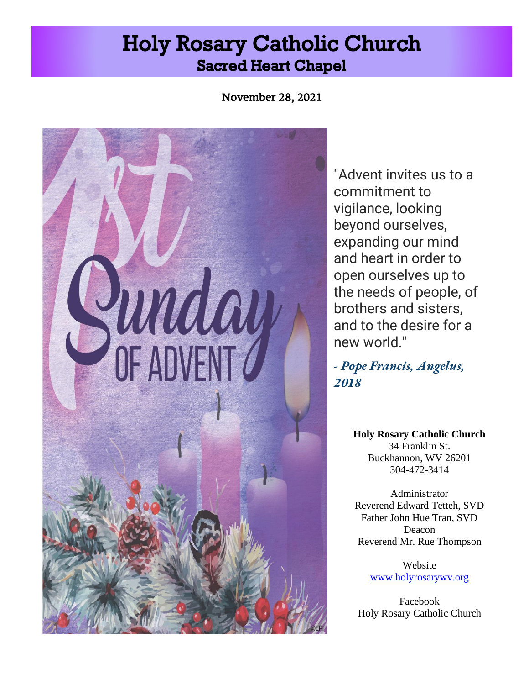# **Holy Rosary Catholic Church Sacred Heart Chapel**

November 28, 2021



"Advent invites us to a commitment to vigilance, looking beyond ourselves, expanding our mind and heart in order to open ourselves up to the needs of people, of brothers and sisters, and to the desire for a new world."

*- Pope Francis, Angelus, 2018*

> **Holy Rosary Catholic Church** 34 Franklin St. Buckhannon, WV 26201 304-472-3414

Administrator Reverend Edward Tetteh, SVD Father John Hue Tran, SVD Deacon Reverend Mr. Rue Thompson

> Website [www.holyrosarywv.org](http://www.holyrosarywv.org/)

Facebook Holy Rosary Catholic Church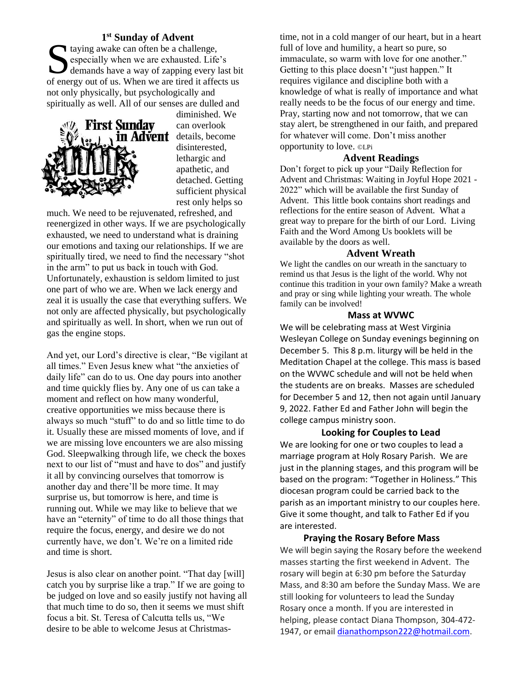## **1 st Sunday of Advent**

taying awake can often be a challenge,<br>
specially when we are exhausted. Life<br>
demands have a way of zapping every let especially when we are exhausted. Life's demands have a way of zapping every last bit of energy out of us. When we are tired it affects us not only physically, but psychologically and spiritually as well. All of our senses are dulled and



diminished. We can overlook **divent** details, become disinterested, lethargic and apathetic, and detached. Getting sufficient physical rest only helps so

much. We need to be rejuvenated, refreshed, and reenergized in other ways. If we are psychologically exhausted, we need to understand what is draining our emotions and taxing our relationships. If we are spiritually tired, we need to find the necessary "shot in the arm" to put us back in touch with God. Unfortunately, exhaustion is seldom limited to just one part of who we are. When we lack energy and zeal it is usually the case that everything suffers. We not only are affected physically, but psychologically and spiritually as well. In short, when we run out of gas the engine stops.

And yet, our Lord's directive is clear, "Be vigilant at all times." Even Jesus knew what "the anxieties of daily life" can do to us. One day pours into another and time quickly flies by. Any one of us can take a moment and reflect on how many wonderful, creative opportunities we miss because there is always so much "stuff" to do and so little time to do it. Usually these are missed moments of love, and if we are missing love encounters we are also missing God. Sleepwalking through life, we check the boxes next to our list of "must and have to dos" and justify it all by convincing ourselves that tomorrow is another day and there'll be more time. It may surprise us, but tomorrow is here, and time is running out. While we may like to believe that we have an "eternity" of time to do all those things that require the focus, energy, and desire we do not currently have, we don't. We're on a limited ride and time is short.

Jesus is also clear on another point. "That day [will] catch you by surprise like a trap." If we are going to be judged on love and so easily justify not having all that much time to do so, then it seems we must shift focus a bit. St. Teresa of Calcutta tells us, "We desire to be able to welcome Jesus at Christmas-

time, not in a cold manger of our heart, but in a heart full of love and humility, a heart so pure, so immaculate, so warm with love for one another." Getting to this place doesn't "just happen." It requires vigilance and discipline both with a knowledge of what is really of importance and what really needs to be the focus of our energy and time. Pray, starting now and not tomorrow, that we can stay alert, be strengthened in our faith, and prepared for whatever will come. Don't miss another opportunity to love. ©LPi

#### **Advent Readings**

Don't forget to pick up your "Daily Reflection for Advent and Christmas: Waiting in Joyful Hope 2021 - 2022" which will be available the first Sunday of Advent. This little book contains short readings and reflections for the entire season of Advent. What a great way to prepare for the birth of our Lord. Living Faith and the Word Among Us booklets will be available by the doors as well.

#### **Advent Wreath**

We light the candles on our wreath in the sanctuary to remind us that Jesus is the light of the world. Why not continue this tradition in your own family? Make a wreath and pray or sing while lighting your wreath. The whole family can be involved!

#### **Mass at WVWC**

We will be celebrating mass at West Virginia Wesleyan College on Sunday evenings beginning on December 5. This 8 p.m. liturgy will be held in the Meditation Chapel at the college. This mass is based on the WVWC schedule and will not be held when the students are on breaks. Masses are scheduled for December 5 and 12, then not again until January 9, 2022. Father Ed and Father John will begin the college campus ministry soon.

#### **Looking for Couples to Lead**

We are looking for one or two couples to lead a marriage program at Holy Rosary Parish. We are just in the planning stages, and this program will be based on the program: "Together in Holiness." This diocesan program could be carried back to the parish as an important ministry to our couples here. Give it some thought, and talk to Father Ed if you are interested.

#### **Praying the Rosary Before Mass**

We will begin saying the Rosary before the weekend masses starting the first weekend in Advent. The rosary will begin at 6:30 pm before the Saturday Mass, and 8:30 am before the Sunday Mass. We are still looking for volunteers to lead the Sunday Rosary once a month. If you are interested in helping, please contact Diana Thompson, 304-472- 1947, or emai[l dianathompson222@hotmail.com.](mailto:dianathompson222@hotmail.com)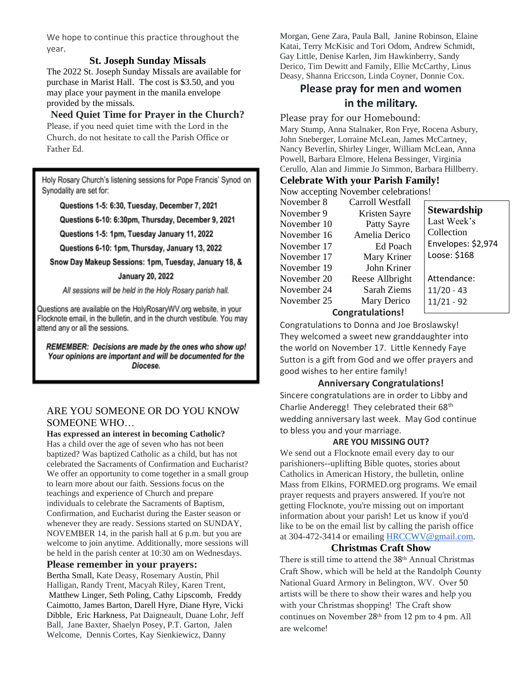We hope to continue this practice throughout the year.

## **St. Joseph Sunday Missals**

The 2022 St. Joseph Sunday Missals are available for purchase in Marist Hall. The cost is \$3.50, and you may place your payment in the manila envelope provided by the missals.

## **Need Quiet Time for Prayer in the Church?**

Please, if you need quiet time with the Lord in the Church, do not hesitate to call the Parish Office or Father Ed.

Holy Rosary Church's listening sessions for Pope Francis' Synod on Synodality are set for:

Questions 1-5: 6:30, Tuesday, December 7, 2021

Questions 6-10: 6:30pm, Thursday, December 9, 2021

Questions 1-5: 1pm, Tuesday January 11, 2022

Questions 6-10: 1pm, Thursday, January 13, 2022

Snow Day Makeup Sessions: 1pm, Tuesday, January 18, &

#### **January 20, 2022**

All sessions will be held in the Holy Rosary parish hall.

Questions are available on the HolyRosaryWV.org website, in your Flocknote email, in the bulletin, and in the church vestibule. You may attend any or all the sessions.

REMEMBER: Decisions are made by the ones who show up! Your opinions are important and will be documented for the Diocese.

## ARE YOU SOMEONE OR DO YOU KNOW SOMEONE WHO…

#### **Has expressed an interest in becoming Catholic?**

Has a child over the age of seven who has not been baptized? Was baptized Catholic as a child, but has not celebrated the Sacraments of Confirmation and Eucharist? We offer an opportunity to come together in a small group to learn more about our faith. Sessions focus on the teachings and experience of Church and prepare individuals to celebrate the Sacraments of Baptism, Confirmation, and Eucharist during the Easter season or whenever they are ready. Sessions started on SUNDAY, NOVEMBER 14, in the parish hall at 6 p.m. but you are welcome to join anytime. Additionally, more sessions will be held in the parish center at 10:30 am on Wednesdays.

#### **Please remember in your prayers:**

Bertha Small, Kate Deasy, Rosemary Austin, Phil Halligan, Randy Trent, Macyah Riley, Karen Trent, Matthew Linger, Seth Poling, Cathy Lipscomb, Freddy Caimotto, James Barton, Darell Hyre, Diane Hyre, Vicki Dibble, Eric Harkness, Pat Daigneault, Duane Lohr, Jeff Ball, Jane Baxter, Shaelyn Posey, P.T. Garton, Jalen Welcome, Dennis Cortes, Kay Sienkiewicz, Danny

Morgan, Gene Zara, Paula Ball, Janine Robinson, Elaine Katai, Terry McKisic and Tori Odom, Andrew Schmidt, Gay Little, Denise Karlen, Jim Hawkinberry, Sandy Derico, Tim Dewitt and Family, Ellie McCarthy, Linus Deasy, Shanna Ericcson, Linda Coyner, Donnie Cox.

## **Please pray for men and women in the military.**

#### Please pray for our Homebound:

Mary Stump, Anna Stalnaker, Ron Frye, Rocena Asbury, John Sneberger, Lorraine McLean, James McCartney, Nancy Beverlin, Shirley Linger, William McLean, Anna Powell, Barbara Elmore, Helena Bessinger, Virginia Cerullo, Alan and Jimmie Jo Simmon, Barbara Hillberry.

#### **Celebrate With your Parish Family!**

Now accepting November celebrations!

| November 8       | Carroll Westfall |                    |
|------------------|------------------|--------------------|
| November 9       | Kristen Sayre    | <b>Stewardship</b> |
| November 10      | Patty Sayre      | Last Week's        |
| November 16      | Amelia Derico    | Collection         |
| November 17      | Ed Poach         | Envelopes: \$2,974 |
| November 17      | Mary Kriner      | Loose: \$168       |
| November 19      | John Kriner      |                    |
| November 20      | Reese Allbright  | Attendance:        |
| November 24      | Sarah Ziems      | $11/20 - 43$       |
| November 25      | Mary Derico      | $11/21 - 92$       |
| Congratulational |                  |                    |

## **Congratulations!**

Congratulations to Donna and Joe Broslawsky! They welcomed a sweet new granddaughter into the world on November 17. Little Kennedy Faye Sutton is a gift from God and we offer prayers and good wishes to her entire family!

#### **Anniversary Congratulations!**

Sincere congratulations are in order to Libby and Charlie Anderegg! They celebrated their 68th wedding anniversary last week. May God continue to bless you and your marriage.

#### **ARE YOU MISSING OUT?**

We send out a Flocknote email every day to our parishioners--uplifting Bible quotes, stories about Catholics in American History, the bulletin, online Mass from Elkins, FORMED.org programs. We email prayer requests and prayers answered. If you're not getting Flocknote, you're missing out on important information about your parish! Let us know if you'd like to be on the email list by calling the parish office at 304-472-3414 or emailing [HRCCWV@gmail.com.](mailto:HRCCWV@gmail.com)

### **Christmas Craft Show**

There is still time to attend the 38<sup>th</sup> Annual Christmas Craft Show, which will be held at the Randolph County National Guard Armory in Belington, WV. Over 50 artists will be there to show their wares and help you with your Christmas shopping! The Craft show continues on November 28th from 12 pm to 4 pm. All are welcome!